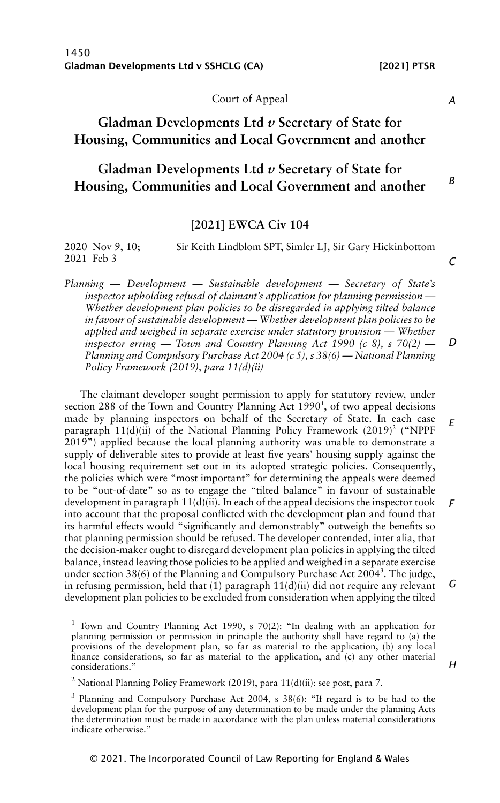Court of Appeal

# **Gladman Developments Ltd** *v* **Secretary of State for Housing, Communities and Local Government and another**

# **Gladman Developments Ltd** *v* **Secretary of State for Housing, Communities and Local Government and another**

## **[2021] EWCA Civ 104**

| 2020 Nov 9, 10; | Sir Keith Lindblom SPT, Simler LJ, Sir Gary Hickinbottom |  |
|-----------------|----------------------------------------------------------|--|
| 2021 Feb 3      |                                                          |  |

*Planning — Development — Sustainable development — Secretary of State's inspector upholding refusal of claimant's application for planning permission — Whether development plan policies to be disregarded in applying tilted balance in favour of sustainable development — Whether development plan policies to be applied and weighed in separate exercise under statutory provision — Whether inspector erring — Town and Country Planning Act 1990 (c 8), s 70(2) — Planning and Compulsory Purchase Act 2004 (c 5), s 38(6) — National Planning Policy Framework (2019), para 11(d)(ii)*

The claimant developer sought permission to apply for statutory review, under section 288 of the Town and Country Planning Act 1990<sup>1</sup>, of two appeal decisions made by planning inspectors on behalf of the Secretary of State. In each case paragraph  $11(d)(ii)$  of the National Planning Policy Framework (2019)<sup>2</sup> ("NPPF 2019") applied because the local planning authority was unable to demonstrate a supply of deliverable sites to provide at least five years' housing supply against the local housing requirement set out in its adopted strategic policies. Consequently, the policies which were "most important" for determining the appeals were deemed to be "out-of-date" so as to engage the "tilted balance" in favour of sustainable development in paragraph 11(d)(ii). In each of the appeal decisions the inspector took into account that the proposal conflicted with the development plan and found that its harmful effects would "significantly and demonstrably" outweigh the benefits so that planning permission should be refused. The developer contended, inter alia, that the decision-maker ought to disregard development plan policies in applying the tilted balance, instead leaving those policies to be applied and weighed in a separate exercise under section 38(6) of the Planning and Compulsory Purchase Act 2004<sup>3</sup>. The judge, in refusing permission, held that  $(1)$  paragraph  $11(d)(ii)$  did not require any relevant development plan policies to be excluded from consideration when applying the tilted *E F G*

<sup>1</sup> Town and Country Planning Act 1990, s 70(2): "In dealing with an application for planning permission or permission in principle the authority shall have regard to (a) the provisions of the development plan, so far as material to the application, (b) any local finance considerations, so far as material to the application, and (c) any other material considerations."

<sup>2</sup> National Planning Policy Framework (2019), para 11(d)(ii): see post, para 7.

<sup>3</sup> Planning and Compulsory Purchase Act 2004, s 38(6): "If regard is to be had to the development plan for the purpose of any determination to be made under the planning Acts the determination must be made in accordance with the plan unless material considerations indicate otherwise."

#### *A*

*B*

*C*

*D*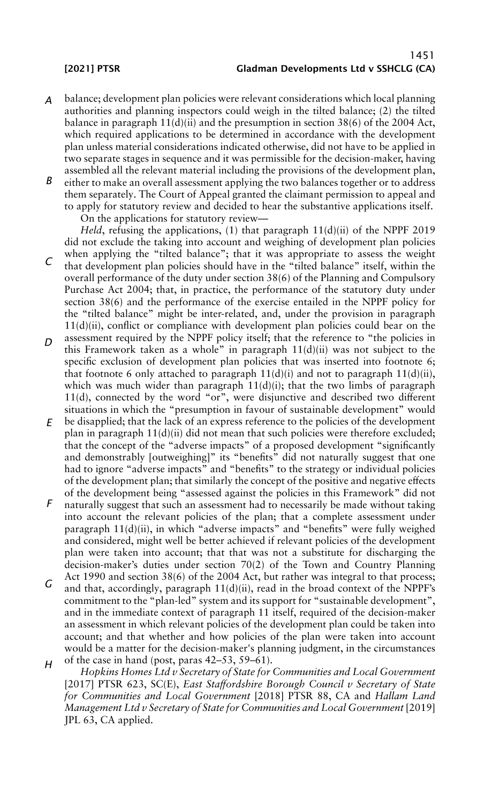## 1451 [2021] PTSR Gladman Developments Ltd v SSHCLG (CA)

- *A* balance; development plan policies were relevant considerations which local planning authorities and planning inspectors could weigh in the tilted balance; (2) the tilted balance in paragraph  $11(d)(ii)$  and the presumption in section 38(6) of the 2004 Act, which required applications to be determined in accordance with the development plan unless material considerations indicated otherwise, did not have to be applied in two separate stages in sequence and it was permissible for the decision-maker, having assembled all the relevant material including the provisions of the development plan,
- *B* either to make an overall assessment applying the two balances together or to address them separately. The Court of Appeal granted the claimant permission to appeal and to apply for statutory review and decided to hear the substantive applications itself. On the applications for statutory review—

*Held*, refusing the applications, (1) that paragraph 11(d)(ii) of the NPPF 2019 did not exclude the taking into account and weighing of development plan policies

- *C* when applying the "tilted balance"; that it was appropriate to assess the weight that development plan policies should have in the "tilted balance" itself, within the overall performance of the duty under section 38(6) of the Planning and Compulsory Purchase Act 2004; that, in practice, the performance of the statutory duty under section 38(6) and the performance of the exercise entailed in the NPPF policy for the "tilted balance" might be inter-related, and, under the provision in paragraph  $11(d)(ii)$ , conflict or compliance with development plan policies could bear on the
- *D* assessment required by the NPPF policy itself; that the reference to "the policies in this Framework taken as a whole" in paragraph  $11(d)(ii)$  was not subject to the specific exclusion of development plan policies that was inserted into footnote 6; that footnote 6 only attached to paragraph  $11(d)(i)$  and not to paragraph  $11(d)(ii)$ , which was much wider than paragraph  $11(d)(i)$ ; that the two limbs of paragraph 11(d), connected by the word "or", were disjunctive and described two different situations in which the "presumption in favour of sustainable development" would
- *E* be disapplied; that the lack of an express reference to the policies of the development plan in paragraph  $11(d)(ii)$  did not mean that such policies were therefore excluded; that the concept of the "adverse impacts" of a proposed development "significantly and demonstrably [outweighing]" its "benefits" did not naturally suggest that one had to ignore "adverse impacts" and "benefits" to the strategy or individual policies of the development plan; that similarly the concept of the positive and negative effects of the development being "assessed against the policies in this Framework" did not
- *F* naturally suggest that such an assessment had to necessarily be made without taking into account the relevant policies of the plan; that a complete assessment under paragraph 11(d)(ii), in which "adverse impacts" and "benefits" were fully weighed and considered, might well be better achieved if relevant policies of the development plan were taken into account; that that was not a substitute for discharging the decision-maker's duties under section 70(2) of the Town and Country Planning Act 1990 and section 38(6) of the 2004 Act, but rather was integral to that process;
- *G H* and that, accordingly, paragraph  $11(d)(ii)$ , read in the broad context of the NPPF's commitment to the "plan-led" system and its support for "sustainable development", and in the immediate context of paragraph 11 itself, required of the decision-maker an assessment in which relevant policies of the development plan could be taken into account; and that whether and how policies of the plan were taken into account would be a matter for the decision-maker's planning judgment, in the circumstances of the case in hand (post, paras 42–53, 59–61).

*Hopkins Homes Ltd v Secretary of State for Communities and Local Government* [2017] PTSR 623, SC(E), *East Staffordshire Borough Council v Secretary of State for Communities and Local Government* [2018] PTSR 88, CA and *Hallam Land Management Ltd v Secretary of State for Communities and Local Government* [2019] JPL 63, CA applied.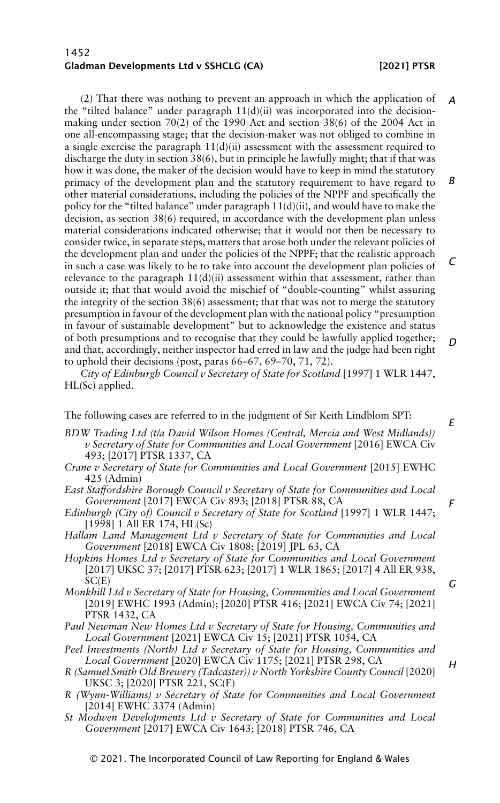## 1452 Gladman Developments Ltd v SSHCLG (CA) [2021] PTSR

(2) That there was nothing to prevent an approach in which the application of the "tilted balance" under paragraph  $11(d)(ii)$  was incorporated into the decisionmaking under section 70(2) of the 1990 Act and section 38(6) of the 2004 Act in one all-encompassing stage; that the decision-maker was not obliged to combine in a single exercise the paragraph  $11(d)(ii)$  assessment with the assessment required to discharge the duty in section 38(6), but in principle he lawfully might; that if that was how it was done, the maker of the decision would have to keep in mind the statutory primacy of the development plan and the statutory requirement to have regard to other material considerations, including the policies of the NPPF and specifically the policy for the "tilted balance" under paragraph  $11(d)(ii)$ , and would have to make the decision, as section 38(6) required, in accordance with the development plan unless material considerations indicated otherwise; that it would not then be necessary to consider twice, in separate steps, matters that arose both under the relevant policies of the development plan and under the policies of the NPPF; that the realistic approach in such a case was likely to be to take into account the development plan policies of relevance to the paragraph  $11(d)(ii)$  assessment within that assessment, rather than outside it; that that would avoid the mischief of "double-counting" whilst assuring the integrity of the section 38(6) assessment; that that was not to merge the statutory presumption in favour of the development plan with the national policy "presumption in favour of sustainable development" but to acknowledge the existence and status of both presumptions and to recognise that they could be lawfully applied together; and that, accordingly, neither inspector had erred in law and the judge had been right to uphold their decisions (post, paras 66–67, 69–70, 71, 72). *A B C D*

*City of Edinburgh Council v Secretary of State for Scotland* [1997] 1 WLR 1447, HL(Sc) applied.

The following cases are referred to in the judgment of Sir Keith Lindblom SPT:

- *BDW Trading Ltd (t/a David Wilson Homes (Central, Mercia and West Midlands)) v Secretary of State for Communities and Local Government* [2016] EWCA Civ 493; [2017] PTSR 1337, CA
	- *Crane v Secretary of State for Communities and Local Government* [2015] EWHC 425 (Admin)
	- *East Staffordshire Borough Council v Secretary of State for Communities and Local Government* [2017] EWCA Civ 893; [2018] PTSR 88, CA
	- *Edinburgh (City of) Council v Secretary of State for Scotland* [1997] 1 WLR 1447; [1998] 1 All ER 174, HL(Sc)
	- *Hallam Land Management Ltd v Secretary of State for Communities and Local Government* [2018] EWCA Civ 1808; [2019] JPL 63, CA
	- *Hopkins Homes Ltd v Secretary of State for Communities and Local Government* [2017] UKSC 37; [2017] PTSR 623; [2017] 1 WLR 1865; [2017] 4 All ER 938,  $SC(E)$
	- *Monkhill Ltd v Secretary of State for Housing, Communities and Local Government* [2019] EWHC 1993 (Admin); [2020] PTSR 416; [2021] EWCA Civ 74; [2021] PTSR 1432, CA
	- *Paul Newman New Homes Ltd v Secretary of State for Housing, Communities and Local Government* [2021] EWCA Civ 15; [2021] PTSR 1054, CA
	- *Peel Investments (North) Ltd v Secretary of State for Housing, Communities and Local Government* [2020] EWCA Civ 1175; [2021] PTSR 298, CA
	- *R (Samuel Smith Old Brewery (Tadcaster)) v North Yorkshire County Council* [2020] UKSC 3; [2020] PTSR 221, SC(E)
	- *R (Wynn-Williams) v Secretary of State for Communities and Local Government* [2014] EWHC 3374 (Admin)
	- *St Modwen Developments Ltd v Secretary of State for Communities and Local Government* [2017] EWCA Civ 1643; [2018] PTSR 746, CA

*E*

*F*

*G*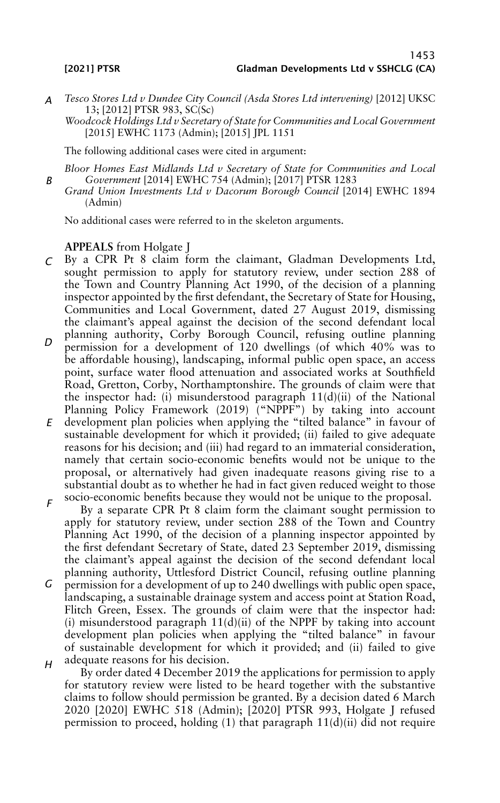- *A Tesco Stores Ltd v Dundee City Council (Asda Stores Ltd intervening)* [2012] UKSC 13; [2012] PTSR 983, SC(Sc)
	- *Woodcock Holdings Ltd v Secretary of State for Communities and Local Government* [2015] EWHC 1173 (Admin); [2015] JPL 1151

The following additional cases were cited in argument:

*B Bloor Homes East Midlands Ltd v Secretary of State for Communities and Local Government* [2014] EWHC 754 (Admin); [2017] PTSR 1283

*Grand Union Investments Ltd v Dacorum Borough Council* [2014] EWHC 1894 (Admin)

No additional cases were referred to in the skeleton arguments.

## **APPEALS** from Holgate J

- *C* By a CPR Pt 8 claim form the claimant, Gladman Developments Ltd, sought permission to apply for statutory review, under section 288 of the Town and Country Planning Act 1990, of the decision of a planning inspector appointed by the first defendant, the Secretary of State for Housing, Communities and Local Government, dated 27 August 2019, dismissing the claimant's appeal against the decision of the second defendant local planning authority, Corby Borough Council, refusing outline planning
- *D* permission for a development of 120 dwellings (of which 40% was to be affordable housing), landscaping, informal public open space, an access point, surface water flood attenuation and associated works at Southfield Road, Gretton, Corby, Northamptonshire. The grounds of claim were that the inspector had: (i) misunderstood paragraph 11(d)(ii) of the National Planning Policy Framework (2019) ("NPPF") by taking into account
- *E* development plan policies when applying the "tilted balance" in favour of sustainable development for which it provided; (ii) failed to give adequate reasons for his decision; and (iii) had regard to an immaterial consideration, namely that certain socio-economic benefits would not be unique to the proposal, or alternatively had given inadequate reasons giving rise to a substantial doubt as to whether he had in fact given reduced weight to those socio-economic benefits because they would not be unique to the proposal.
- *F* By a separate CPR Pt 8 claim form the claimant sought permission to apply for statutory review, under section 288 of the Town and Country Planning Act 1990, of the decision of a planning inspector appointed by the first defendant Secretary of State, dated 23 September 2019, dismissing the claimant's appeal against the decision of the second defendant local planning authority, Uttlesford District Council, refusing outline planning
- *G H* permission for a development of up to 240 dwellings with public open space, landscaping, a sustainable drainage system and access point at Station Road, Flitch Green, Essex. The grounds of claim were that the inspector had: (i) misunderstood paragraph  $11(d)(ii)$  of the NPPF by taking into account development plan policies when applying the "tilted balance" in favour of sustainable development for which it provided; and (ii) failed to give adequate reasons for his decision.
	- By order dated 4 December 2019 the applications for permission to apply for statutory review were listed to be heard together with the substantive claims to follow should permission be granted. By a decision dated 6 March 2020 [2020] EWHC 518 (Admin); [2020] PTSR 993, Holgate J refused permission to proceed, holding (1) that paragraph 11(d)(ii) did not require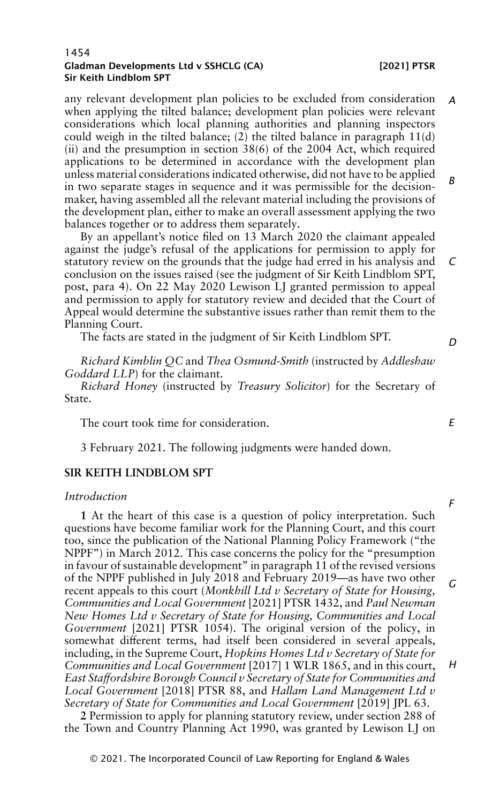any relevant development plan policies to be excluded from consideration when applying the tilted balance; development plan policies were relevant considerations which local planning authorities and planning inspectors could weigh in the tilted balance; (2) the tilted balance in paragraph  $11(d)$ (ii) and the presumption in section 38(6) of the 2004 Act, which required applications to be determined in accordance with the development plan unless material considerations indicated otherwise, did not have to be applied in two separate stages in sequence and it was permissible for the decisionmaker, having assembled all the relevant material including the provisions of the development plan, either to make an overall assessment applying the two balances together or to address them separately. *A B*

By an appellant's notice filed on 13 March 2020 the claimant appealed against the judge's refusal of the applications for permission to apply for statutory review on the grounds that the judge had erred in his analysis and conclusion on the issues raised (see the judgment of Sir Keith Lindblom SPT, post, para 4). On 22 May 2020 Lewison LJ granted permission to appeal and permission to apply for statutory review and decided that the Court of Appeal would determine the substantive issues rather than remit them to the Planning Court. *C*

The facts are stated in the judgment of Sir Keith Lindblom SPT.

*Richard Kimblin QC* and *Thea Osmund-Smith* (instructed by *Addleshaw Goddard LLP*) for the claimant.

*Richard Honey* (instructed by *Treasury Solicitor*) for the Secretary of State.

The court took time for consideration.

3 February 2021. The following judgments were handed down.

## **SIR KEITH LINDBLOM SPT**

## *Introduction*

**1** At the heart of this case is a question of policy interpretation. Such questions have become familiar work for the Planning Court, and this court too, since the publication of the National Planning Policy Framework ("the NPPF") in March 2012. This case concerns the policy for the "presumption in favour of sustainable development" in paragraph 11 of the revised versions of the NPPF published in July 2018 and February 2019—as have two other recent appeals to this court (*Monkhill Ltd v Secretary of State for Housing, Communities and Local Government* [2021] PTSR 1432, and *Paul Newman New Homes Ltd v Secretary of State for Housing, Communities and Local Government* [2021] PTSR 1054). The original version of the policy, in somewhat different terms, had itself been considered in several appeals, including, in the Supreme Court, *Hopkins Homes Ltd v Secretary of State for Communities and Local Government* [2017] 1 WLR 1865, and in this court, *East Staffordshire Borough Council v Secretary of State for Communities and Local Government* [2018] PTSR 88, and *Hallam Land Management Ltd v Secretary of State for Communities and Local Government* [2019] JPL 63. *G H*

**2** Permission to apply for planning statutory review, under section 288 of the Town and Country Planning Act 1990, was granted by Lewison LJ on

*D*

*E*

*F*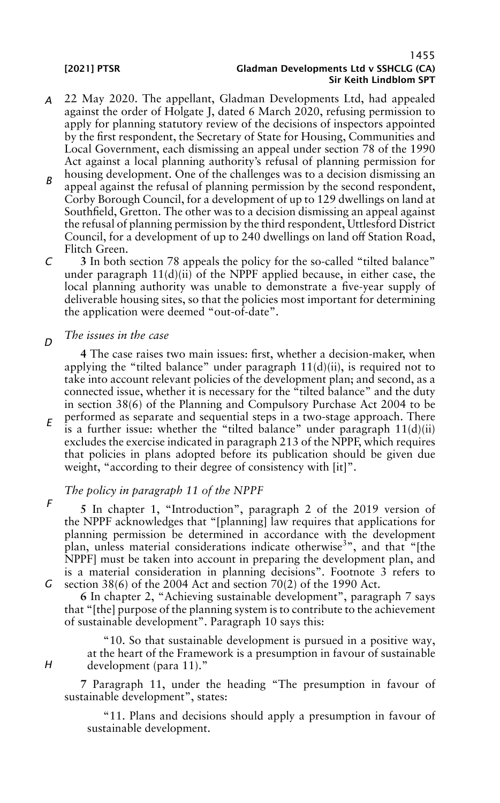- *A* 22 May 2020. The appellant, Gladman Developments Ltd, had appealed against the order of Holgate J, dated 6 March 2020, refusing permission to apply for planning statutory review of the decisions of inspectors appointed by the first respondent, the Secretary of State for Housing, Communities and Local Government, each dismissing an appeal under section 78 of the 1990 Act against a local planning authority's refusal of planning permission for housing development. One of the challenges was to a decision dismissing an
- *B* appeal against the refusal of planning permission by the second respondent, Corby Borough Council, for a development of up to 129 dwellings on land at Southfield, Gretton. The other was to a decision dismissing an appeal against the refusal of planning permission by the third respondent, Uttlesford District Council, for a development of up to 240 dwellings on land off Station Road, Flitch Green.
- *C* **3** In both section 78 appeals the policy for the so-called "tilted balance" under paragraph  $11(d)(ii)$  of the NPPF applied because, in either case, the local planning authority was unable to demonstrate a five-year supply of deliverable housing sites, so that the policies most important for determining the application were deemed "out-of-date".
- *D The issues in the case*

**4** The case raises two main issues: first, whether a decision-maker, when applying the "tilted balance" under paragraph  $11(d)(ii)$ , is required not to take into account relevant policies of the development plan; and second, as a connected issue, whether it is necessary for the "tilted balance" and the duty in section 38(6) of the Planning and Compulsory Purchase Act 2004 to be performed as separate and sequential steps in a two-stage approach. There is a further issue: whether the "tilted balance" under paragraph  $11(d)(ii)$ excludes the exercise indicated in paragraph 213 of the NPPF, which requires that policies in plans adopted before its publication should be given due weight, "according to their degree of consistency with [it]".

## *The policy in paragraph 11 of the NPPF*

- *F G* section 38(6) of the 2004 Act and section 70(2) of the 1990 Act. **5** In chapter 1, "Introduction", paragraph 2 of the 2019 version of the NPPF acknowledges that "[planning] law requires that applications for planning permission be determined in accordance with the development plan, unless material considerations indicate otherwise<sup>3</sup>", and that "[the NPPF] must be taken into account in preparing the development plan, and is a material consideration in planning decisions". Footnote 3 refers to
	- **6** In chapter 2, "Achieving sustainable development", paragraph 7 says that "[the] purpose of the planning system is to contribute to the achievement of sustainable development". Paragraph 10 says this:
		- "10. So that sustainable development is pursued in a positive way, at the heart of the Framework is a presumption in favour of sustainable development (para 11)."

**7** Paragraph 11, under the heading "The presumption in favour of sustainable development", states:

"11. Plans and decisions should apply a presumption in favour of sustainable development.

*H*

*E*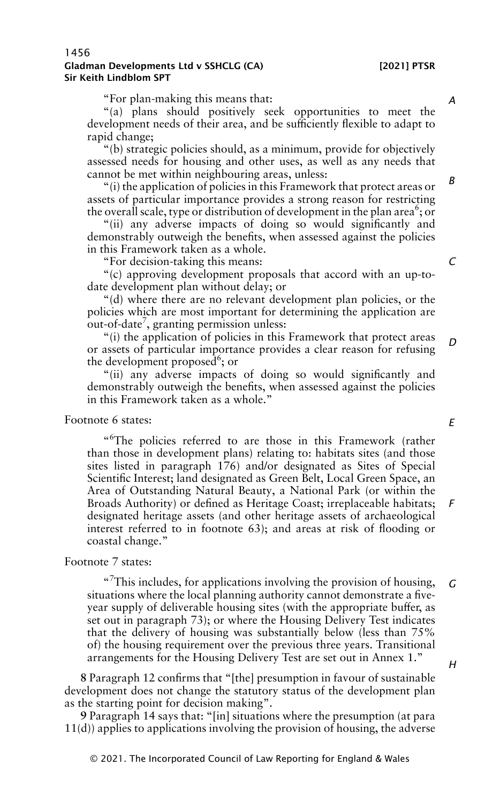"For plan-making this means that:

"(a) plans should positively seek opportunities to meet the development needs of their area, and be sufficiently flexible to adapt to rapid change;

"(b) strategic policies should, as a minimum, provide for objectively assessed needs for housing and other uses, as well as any needs that cannot be met within neighbouring areas, unless:

"(i) the application of policies in this Framework that protect areas or assets of particular importance provides a strong reason for restricting the overall scale, type or distribution of development in the plan area<sup>6</sup>; or

"(ii) any adverse impacts of doing so would significantly and demonstrably outweigh the benefits, when assessed against the policies in this Framework taken as a whole.

"For decision-taking this means:

"(c) approving development proposals that accord with an up-todate development plan without delay; or

"(d) where there are no relevant development plan policies, or the policies which are most important for determining the application are  $\frac{1}{2}$  out-of-date<sup>7</sup>, granting permission unless:

"(i) the application of policies in this Framework that protect areas or assets of particular importance provides a clear reason for refusing the development proposed<sup>6</sup>; or *D*

"(ii) any adverse impacts of doing so would significantly and demonstrably outweigh the benefits, when assessed against the policies in this Framework taken as a whole."

## Footnote 6 states:

" <sup>6</sup>The policies referred to are those in this Framework (rather than those in development plans) relating to: habitats sites (and those sites listed in paragraph 176) and/or designated as Sites of Special Scientific Interest; land designated as Green Belt, Local Green Space, an Area of Outstanding Natural Beauty, a National Park (or within the Broads Authority) or defined as Heritage Coast; irreplaceable habitats; designated heritage assets (and other heritage assets of archaeological interest referred to in footnote 63); and areas at risk of flooding or coastal change." *F*

## Footnote 7 states:

" <sup>7</sup>This includes, for applications involving the provision of housing, situations where the local planning authority cannot demonstrate a fiveyear supply of deliverable housing sites (with the appropriate buffer, as set out in paragraph 73); or where the Housing Delivery Test indicates that the delivery of housing was substantially below (less than 75% of) the housing requirement over the previous three years. Transitional arrangements for the Housing Delivery Test are set out in Annex 1." *G H*

**8** Paragraph 12 confirms that "[the] presumption in favour of sustainable development does not change the statutory status of the development plan as the starting point for decision making".

**9** Paragraph 14 says that: "[in] situations where the presumption (at para 11(d)) applies to applications involving the provision of housing, the adverse

#### *A*

*B*

*C*

*E*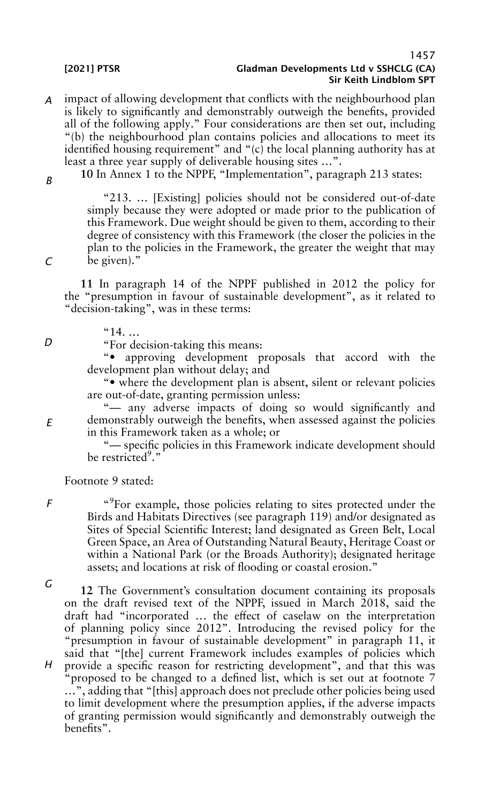- *A* impact of allowing development that conflicts with the neighbourhood plan is likely to significantly and demonstrably outweigh the benefits, provided all of the following apply." Four considerations are then set out, including "(b) the neighbourhood plan contains policies and allocations to meet its identified housing requirement" and "(c) the local planning authority has at least a three year supply of deliverable housing sites …".
	- **10** In Annex 1 to the NPPF, "Implementation", paragraph 213 states:

"213. … [Existing] policies should not be considered out-of-date simply because they were adopted or made prior to the publication of this Framework. Due weight should be given to them, according to their degree of consistency with this Framework (the closer the policies in the plan to the policies in the Framework, the greater the weight that may be given)."

**11** In paragraph 14 of the NPPF published in 2012 the policy for the "presumption in favour of sustainable development", as it related to "decision-taking", was in these terms:

 $"14$ ...

"For decision-taking this means:

"• approving development proposals that accord with the development plan without delay; and

"• where the development plan is absent, silent or relevant policies are out-of-date, granting permission unless:

"— any adverse impacts of doing so would significantly and demonstrably outweigh the benefits, when assessed against the policies in this Framework taken as a whole; or

"— specific policies in this Framework indicate development should be restricted<sup>9</sup>."

Footnote 9 stated:

*F*

"<sup>9</sup>For example, those policies relating to sites protected under the Birds and Habitats Directives (see paragraph 119) and/or designated as Sites of Special Scientific Interest; land designated as Green Belt, Local Green Space, an Area of Outstanding Natural Beauty, Heritage Coast or within a National Park (or the Broads Authority); designated heritage assets; and locations at risk of flooding or coastal erosion."

*G*

*H* **12** The Government's consultation document containing its proposals on the draft revised text of the NPPF, issued in March 2018, said the draft had "incorporated … the effect of caselaw on the interpretation of planning policy since 2012". Introducing the revised policy for the "presumption in favour of sustainable development" in paragraph 11, it said that "[the] current Framework includes examples of policies which provide a specific reason for restricting development", and that this was "proposed to be changed to a defined list, which is set out at footnote 7 …", adding that "[this] approach does not preclude other policies being used to limit development where the presumption applies, if the adverse impacts

of granting permission would significantly and demonstrably outweigh the benefits".

*D*

*E*

*B*

*C*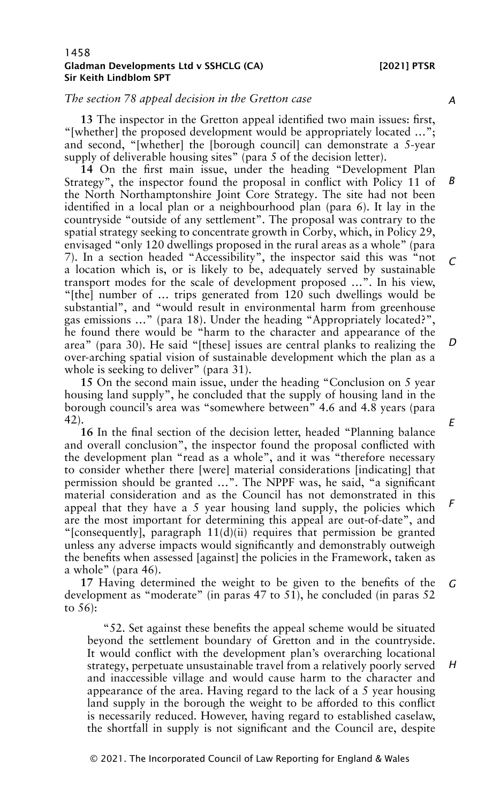## *The section 78 appeal decision in the Gretton case*

**13** The inspector in the Gretton appeal identified two main issues: first, "[whether] the proposed development would be appropriately located …"; and second, "[whether] the [borough council] can demonstrate a 5-year supply of deliverable housing sites" (para 5 of the decision letter).

**14** On the first main issue, under the heading "Development Plan Strategy", the inspector found the proposal in conflict with Policy 11 of the North Northamptonshire Joint Core Strategy. The site had not been identified in a local plan or a neighbourhood plan (para 6). It lay in the countryside "outside of any settlement". The proposal was contrary to the spatial strategy seeking to concentrate growth in Corby, which, in Policy 29, envisaged "only 120 dwellings proposed in the rural areas as a whole" (para 7). In a section headed "Accessibility", the inspector said this was "not a location which is, or is likely to be, adequately served by sustainable transport modes for the scale of development proposed …". In his view, "[the] number of … trips generated from 120 such dwellings would be substantial", and "would result in environmental harm from greenhouse gas emissions …" (para 18). Under the heading "Appropriately located?", he found there would be "harm to the character and appearance of the area" (para 30). He said "[these] issues are central planks to realizing the over-arching spatial vision of sustainable development which the plan as a whole is seeking to deliver" (para 31). *B C D*

**15** On the second main issue, under the heading "Conclusion on 5 year housing land supply", he concluded that the supply of housing land in the borough council's area was "somewhere between" 4.6 and 4.8 years (para 42).

**16** In the final section of the decision letter, headed "Planning balance and overall conclusion", the inspector found the proposal conflicted with the development plan "read as a whole", and it was "therefore necessary to consider whether there [were] material considerations [indicating] that permission should be granted …". The NPPF was, he said, "a significant material consideration and as the Council has not demonstrated in this appeal that they have a 5 year housing land supply, the policies which are the most important for determining this appeal are out-of-date", and "[consequently], paragraph  $11(d)(ii)$  requires that permission be granted unless any adverse impacts would significantly and demonstrably outweigh the benefits when assessed [against] the policies in the Framework, taken as a whole" (para 46).

**17** Having determined the weight to be given to the benefits of the development as "moderate" (in paras 47 to 51), he concluded (in paras 52 to 56): *G*

"52. Set against these benefits the appeal scheme would be situated beyond the settlement boundary of Gretton and in the countryside. It would conflict with the development plan's overarching locational strategy, perpetuate unsustainable travel from a relatively poorly served and inaccessible village and would cause harm to the character and appearance of the area. Having regard to the lack of a 5 year housing land supply in the borough the weight to be afforded to this conflict is necessarily reduced. However, having regard to established caselaw, the shortfall in supply is not significant and the Council are, despite

*A*

© 2021. The Incorporated Council of Law Reporting for England & Wales

*H*

- 
- *E*

*F*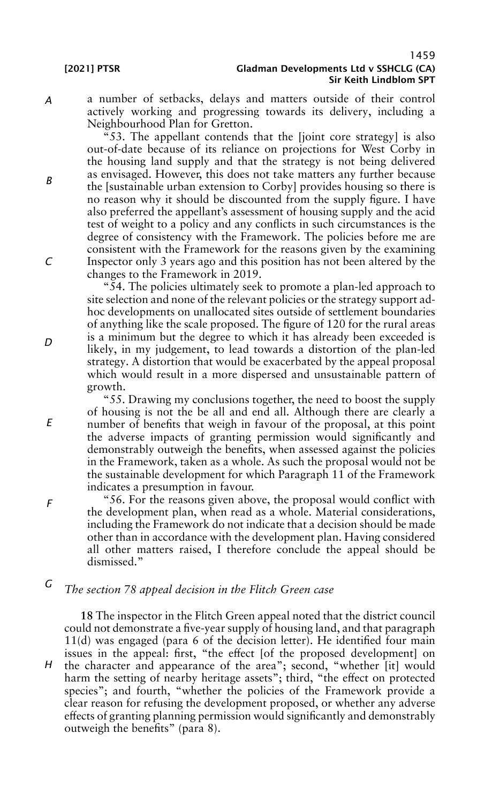a number of setbacks, delays and matters outside of their control actively working and progressing towards its delivery, including a Neighbourhood Plan for Gretton.

"53. The appellant contends that the [joint core strategy] is also out-of-date because of its reliance on projections for West Corby in the housing land supply and that the strategy is not being delivered as envisaged. However, this does not take matters any further because the [sustainable urban extension to Corby] provides housing so there is no reason why it should be discounted from the supply figure. I have also preferred the appellant's assessment of housing supply and the acid test of weight to a policy and any conflicts in such circumstances is the degree of consistency with the Framework. The policies before me are consistent with the Framework for the reasons given by the examining Inspector only 3 years ago and this position has not been altered by the changes to the Framework in 2019.

"54. The policies ultimately seek to promote a plan-led approach to site selection and none of the relevant policies or the strategy support adhoc developments on unallocated sites outside of settlement boundaries of anything like the scale proposed. The figure of 120 for the rural areas is a minimum but the degree to which it has already been exceeded is likely, in my judgement, to lead towards a distortion of the plan-led strategy. A distortion that would be exacerbated by the appeal proposal which would result in a more dispersed and unsustainable pattern of growth.

"55. Drawing my conclusions together, the need to boost the supply of housing is not the be all and end all. Although there are clearly a number of benefits that weigh in favour of the proposal, at this point the adverse impacts of granting permission would significantly and demonstrably outweigh the benefits, when assessed against the policies in the Framework, taken as a whole. As such the proposal would not be the sustainable development for which Paragraph 11 of the Framework indicates a presumption in favour.

"56. For the reasons given above, the proposal would conflict with the development plan, when read as a whole. Material considerations, including the Framework do not indicate that a decision should be made other than in accordance with the development plan. Having considered all other matters raised, I therefore conclude the appeal should be dismissed."

#### *G The section 78 appeal decision in the Flitch Green case*

*H* **18** The inspector in the Flitch Green appeal noted that the district council could not demonstrate a five-year supply of housing land, and that paragraph 11(d) was engaged (para 6 of the decision letter). He identified four main issues in the appeal: first, "the effect [of the proposed development] on the character and appearance of the area"; second, "whether [it] would harm the setting of nearby heritage assets"; third, "the effect on protected species"; and fourth, "whether the policies of the Framework provide a clear reason for refusing the development proposed, or whether any adverse effects of granting planning permission would significantly and demonstrably outweigh the benefits" (para 8).

*A*

*B*

*C*

*D*

*E*

*F*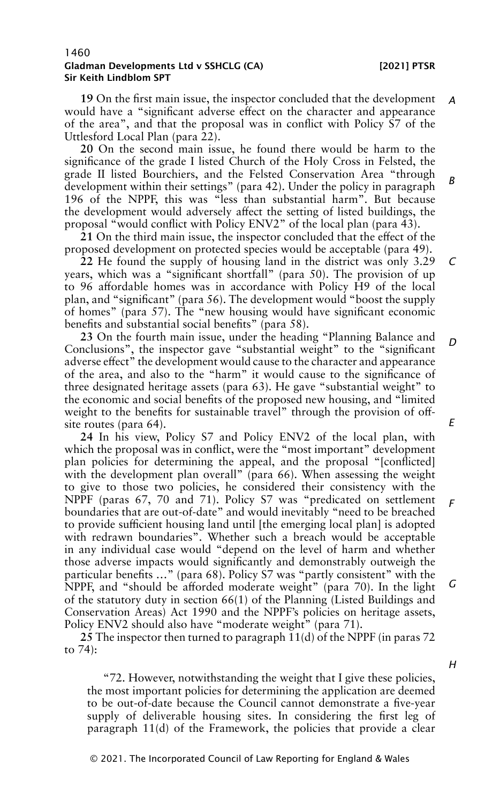*C*

#### 1460 Gladman Developments Ltd v SSHCLG (CA) [2021] PTSR Sir Keith Lindblom SPT

**19** On the first main issue, the inspector concluded that the development would have a "significant adverse effect on the character and appearance of the area", and that the proposal was in conflict with Policy S7 of the Uttlesford Local Plan (para 22). *A*

**20** On the second main issue, he found there would be harm to the significance of the grade I listed Church of the Holy Cross in Felsted, the grade II listed Bourchiers, and the Felsted Conservation Area "through development within their settings" (para 42). Under the policy in paragraph 196 of the NPPF, this was "less than substantial harm". But because the development would adversely affect the setting of listed buildings, the proposal "would conflict with Policy ENV2" of the local plan (para 43). *B*

**21** On the third main issue, the inspector concluded that the effect of the proposed development on protected species would be acceptable (para 49).

**22** He found the supply of housing land in the district was only 3.29 years, which was a "significant shortfall" (para 50). The provision of up to 96 affordable homes was in accordance with Policy H9 of the local plan, and "significant" (para 56). The development would "boost the supply of homes" (para 57). The "new housing would have significant economic benefits and substantial social benefits" (para 58).

**23** On the fourth main issue, under the heading "Planning Balance and Conclusions", the inspector gave "substantial weight" to the "significant adverse effect" the development would cause to the character and appearance of the area, and also to the "harm" it would cause to the significance of three designated heritage assets (para 63). He gave "substantial weight" to the economic and social benefits of the proposed new housing, and "limited weight to the benefits for sustainable travel" through the provision of offsite routes (para 64). *D E*

**24** In his view, Policy S7 and Policy ENV2 of the local plan, with which the proposal was in conflict, were the "most important" development plan policies for determining the appeal, and the proposal "[conflicted] with the development plan overall" (para 66). When assessing the weight to give to those two policies, he considered their consistency with the NPPF (paras 67, 70 and 71). Policy S7 was "predicated on settlement boundaries that are out-of-date" and would inevitably "need to be breached to provide sufficient housing land until [the emerging local plan] is adopted with redrawn boundaries". Whether such a breach would be acceptable in any individual case would "depend on the level of harm and whether those adverse impacts would significantly and demonstrably outweigh the particular benefits …" (para 68). Policy S7 was "partly consistent" with the NPPF, and "should be afforded moderate weight" (para 70). In the light of the statutory duty in section 66(1) of the Planning (Listed Buildings and Conservation Areas) Act 1990 and the NPPF's policies on heritage assets, Policy ENV2 should also have "moderate weight" (para 71). *F G*

**25** The inspector then turned to paragraph 11(d) of the NPPF (in paras 72 to 74):

"72. However, notwithstanding the weight that I give these policies, the most important policies for determining the application are deemed to be out-of-date because the Council cannot demonstrate a five-year supply of deliverable housing sites. In considering the first leg of paragraph 11(d) of the Framework, the policies that provide a clear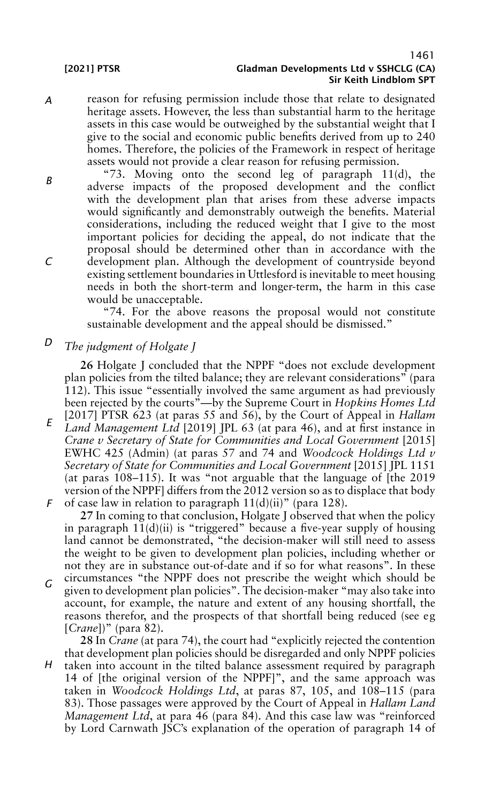*A* reason for refusing permission include those that relate to designated heritage assets. However, the less than substantial harm to the heritage assets in this case would be outweighed by the substantial weight that I give to the social and economic public benefits derived from up to 240 homes. Therefore, the policies of the Framework in respect of heritage assets would not provide a clear reason for refusing permission.

"73. Moving onto the second leg of paragraph  $11(d)$ , the adverse impacts of the proposed development and the conflict with the development plan that arises from these adverse impacts would significantly and demonstrably outweigh the benefits. Material considerations, including the reduced weight that I give to the most important policies for deciding the appeal, do not indicate that the proposal should be determined other than in accordance with the development plan. Although the development of countryside beyond existing settlement boundaries in Uttlesford is inevitable to meet housing needs in both the short-term and longer-term, the harm in this case would be unacceptable.

"74. For the above reasons the proposal would not constitute sustainable development and the appeal should be dismissed."

*D The judgment of Holgate J*

> **26** Holgate J concluded that the NPPF "does not exclude development plan policies from the tilted balance; they are relevant considerations" (para 112). This issue "essentially involved the same argument as had previously been rejected by the courts"—by the Supreme Court in *Hopkins Homes Ltd* [2017] PTSR 623 (at paras 55 and 56), by the Court of Appeal in *Hallam*

*E F Land Management Ltd* [2019] JPL 63 (at para 46), and at first instance in *Crane v Secretary of State for Communities and Local Government* [2015] EWHC 425 (Admin) (at paras 57 and 74 and *Woodcock Holdings Ltd v Secretary of State for Communities and Local Government* [2015] JPL 1151 (at paras 108–115). It was "not arguable that the language of [the 2019 version of the NPPF] differs from the 2012 version so as to displace that body

of case law in relation to paragraph 11(d)(ii)" (para 128). **27** In coming to that conclusion, Holgate J observed that when the policy in paragraph  $11(d)(ii)$  is "triggered" because a five-year supply of housing land cannot be demonstrated, "the decision-maker will still need to assess the weight to be given to development plan policies, including whether or not they are in substance out-of-date and if so for what reasons". In these

*G* circumstances "the NPPF does not prescribe the weight which should be given to development plan policies". The decision-maker "may also take into account, for example, the nature and extent of any housing shortfall, the reasons therefor, and the prospects of that shortfall being reduced (see eg [*Crane*])" (para 82).

*H* **28** In *Crane* (at para 74), the court had "explicitly rejected the contention that development plan policies should be disregarded and only NPPF policies taken into account in the tilted balance assessment required by paragraph 14 of [the original version of the NPPF]", and the same approach was taken in *Woodcock Holdings Ltd*, at paras 87, 105, and 108–115 (para 83). Those passages were approved by the Court of Appeal in *Hallam Land Management Ltd*, at para 46 (para 84). And this case law was "reinforced by Lord Carnwath JSC's explanation of the operation of paragraph 14 of

*C*

*B*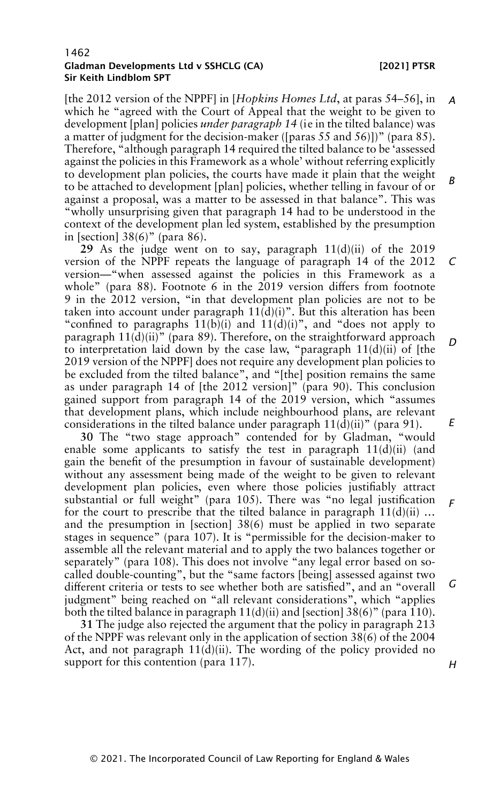[the 2012 version of the NPPF] in [*Hopkins Homes Ltd*, at paras 54–56], in which he "agreed with the Court of Appeal that the weight to be given to development [plan] policies *under paragraph 14* (ie in the tilted balance) was a matter of judgment for the decision-maker ([paras  $55$  and  $56$ ]])" (para  $85$ ). Therefore, "although paragraph 14 required the tilted balance to be 'assessed against the policies in this Framework as a whole' without referring explicitly to development plan policies, the courts have made it plain that the weight to be attached to development [plan] policies, whether telling in favour of or against a proposal, was a matter to be assessed in that balance". This was "wholly unsurprising given that paragraph 14 had to be understood in the context of the development plan led system, established by the presumption in [section] 38(6)" (para 86). *A B*

**29** As the judge went on to say, paragraph 11(d)(ii) of the 2019 version of the NPPF repeats the language of paragraph 14 of the 2012 version—"when assessed against the policies in this Framework as a whole" (para 88). Footnote 6 in the 2019 version differs from footnote 9 in the 2012 version, "in that development plan policies are not to be taken into account under paragraph  $11\overline{d}(i)$ )". But this alteration has been "confined to paragraphs  $11(b)(i)$  and  $11(d)(i)$ ", and "does not apply to paragraph 11(d)(ii)" (para 89). Therefore, on the straightforward approach to interpretation laid down by the case law, "paragraph  $11(d)(ii)$  of [the 2019 version of the NPPF] does not require any development plan policies to be excluded from the tilted balance", and "[the] position remains the same as under paragraph 14 of [the 2012 version]" (para 90). This conclusion gained support from paragraph 14 of the 2019 version, which "assumes that development plans, which include neighbourhood plans, are relevant considerations in the tilted balance under paragraph  $11(\overline{d})(ii)$ " (para 91). *C D E*

**30** The "two stage approach" contended for by Gladman, "would enable some applicants to satisfy the test in paragraph  $11(d)(ii)$  (and gain the benefit of the presumption in favour of sustainable development) without any assessment being made of the weight to be given to relevant development plan policies, even where those policies justifiably attract substantial or full weight" (para 105). There was "no legal justification for the court to prescribe that the tilted balance in paragraph  $11(d)(ii)$  ... and the presumption in [section] 38(6) must be applied in two separate stages in sequence" (para 107). It is "permissible for the decision-maker to assemble all the relevant material and to apply the two balances together or separately" (para 108). This does not involve "any legal error based on socalled double-counting", but the "same factors [being] assessed against two different criteria or tests to see whether both are satisfied", and an "overall judgment" being reached on "all relevant considerations", which "applies both the tilted balance in paragraph  $11(d)(ii)$  and [section] 38(6)" (para 110). *F G*

**31** The judge also rejected the argument that the policy in paragraph 213 of the NPPF was relevant only in the application of section 38(6) of the 2004 Act, and not paragraph  $11(d)(ii)$ . The wording of the policy provided no support for this contention (para 117).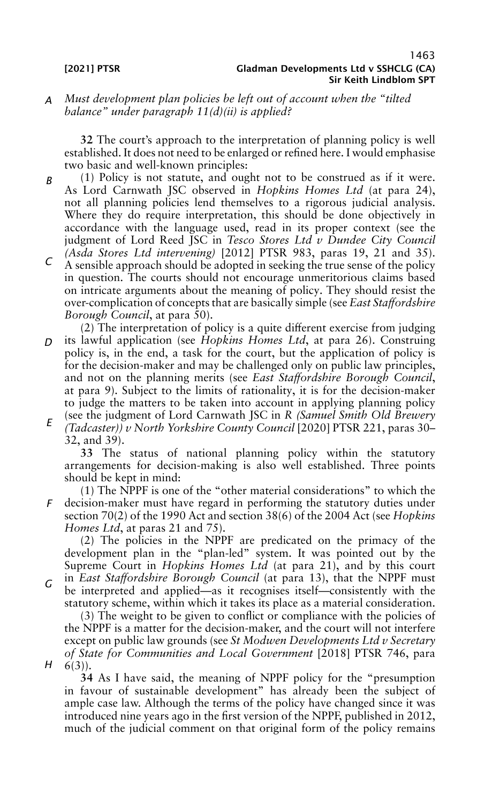## *A Must development plan policies be left out of account when the "tilted balance" under paragraph 11(d)(ii) is applied?*

**32** The court's approach to the interpretation of planning policy is well established. It does not need to be enlarged or refined here. I would emphasise two basic and well-known principles:

- *B* (1) Policy is not statute, and ought not to be construed as if it were. As Lord Carnwath JSC observed in *Hopkins Homes Ltd* (at para 24), not all planning policies lend themselves to a rigorous judicial analysis. Where they do require interpretation, this should be done objectively in accordance with the language used, read in its proper context (see the judgment of Lord Reed JSC in *Tesco Stores Ltd v Dundee City Council*
- *C (Asda Stores Ltd intervening)* [2012] PTSR 983, paras 19, 21 and 35). A sensible approach should be adopted in seeking the true sense of the policy in question. The courts should not encourage unmeritorious claims based on intricate arguments about the meaning of policy. They should resist the over-complication of concepts that are basically simple (see *East Staffordshire Borough Council*, at para 50).
- *D E* (2) The interpretation of policy is a quite different exercise from judging its lawful application (see *Hopkins Homes Ltd*, at para 26). Construing policy is, in the end, a task for the court, but the application of policy is for the decision-maker and may be challenged only on public law principles, and not on the planning merits (see *East Staffordshire Borough Council*, at para 9). Subject to the limits of rationality, it is for the decision-maker to judge the matters to be taken into account in applying planning policy (see the judgment of Lord Carnwath JSC in *R (Samuel Smith Old Brewery (Tadcaster)) v North Yorkshire County Council* [2020] PTSR 221, paras 30–

32, and 39).

**33** The status of national planning policy within the statutory arrangements for decision-making is also well established. Three points should be kept in mind:

*F* (1) The NPPF is one of the "other material considerations" to which the decision-maker must have regard in performing the statutory duties under section 70(2) of the 1990 Act and section 38(6) of the 2004 Act (see *Hopkins Homes Ltd*, at paras 21 and 75).

(2) The policies in the NPPF are predicated on the primacy of the development plan in the "plan-led" system. It was pointed out by the Supreme Court in *Hopkins Homes Ltd* (at para 21), and by this court

*G* in *East Staffordshire Borough Council* (at para 13), that the NPPF must be interpreted and applied—as it recognises itself—consistently with the statutory scheme, within which it takes its place as a material consideration.

*H* (3) The weight to be given to conflict or compliance with the policies of the NPPF is a matter for the decision-maker, and the court will not interfere except on public law grounds (see *St Modwen Developments Ltd v Secretary of State for Communities and Local Government* [2018] PTSR 746, para  $6(3)$ ).

**34** As I have said, the meaning of NPPF policy for the "presumption in favour of sustainable development" has already been the subject of ample case law. Although the terms of the policy have changed since it was introduced nine years ago in the first version of the NPPF, published in 2012, much of the judicial comment on that original form of the policy remains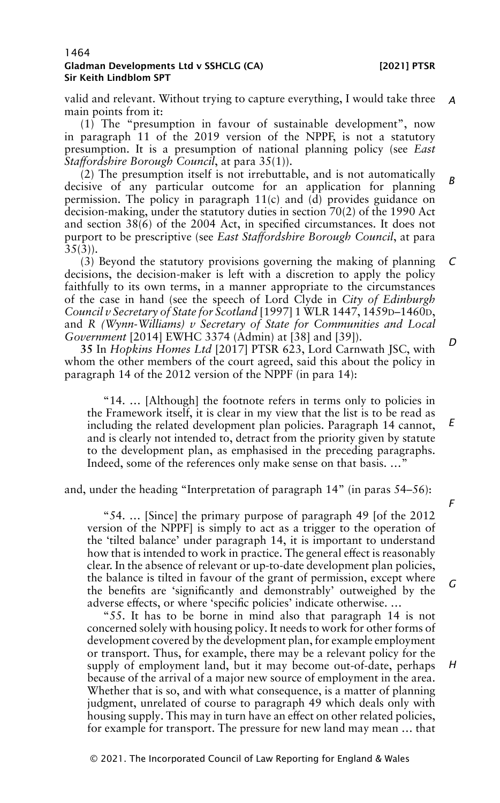valid and relevant. Without trying to capture everything, I would take three *A* main points from it:

(1) The "presumption in favour of sustainable development", now in paragraph 11 of the 2019 version of the NPPF, is not a statutory presumption. It is a presumption of national planning policy (see *East Staffordshire Borough Council*, at para 35(1)).

(2) The presumption itself is not irrebuttable, and is not automatically decisive of any particular outcome for an application for planning permission. The policy in paragraph  $11(c)$  and  $(d)$  provides guidance on decision-making, under the statutory duties in section 70(2) of the 1990 Act and section 38(6) of the 2004 Act, in specified circumstances. It does not purport to be prescriptive (see *East Staffordshire Borough Council*, at para  $35(3)$ ). *B*

(3) Beyond the statutory provisions governing the making of planning decisions, the decision-maker is left with a discretion to apply the policy faithfully to its own terms, in a manner appropriate to the circumstances of the case in hand (see the speech of Lord Clyde in *City of Edinburgh Council v Secretary of State for Scotland* [1997] 1 WLR 1447, 1459D–1460D, and *R (Wynn-Williams) v Secretary of State for Communities and Local Government* [2014] EWHC 3374 (Admin) at [38] and [39]). *C D*

**35** In *Hopkins Homes Ltd* [2017] PTSR 623, Lord Carnwath JSC, with whom the other members of the court agreed, said this about the policy in paragraph 14 of the 2012 version of the NPPF (in para 14):

"14. … [Although] the footnote refers in terms only to policies in the Framework itself, it is clear in my view that the list is to be read as including the related development plan policies. Paragraph 14 cannot, and is clearly not intended to, detract from the priority given by statute to the development plan, as emphasised in the preceding paragraphs. Indeed, some of the references only make sense on that basis. …" *E*

and, under the heading "Interpretation of paragraph 14" (in paras 54–56):

"54. … [Since] the primary purpose of paragraph 49 [of the 2012 version of the NPPF] is simply to act as a trigger to the operation of the 'tilted balance' under paragraph 14, it is important to understand how that is intended to work in practice. The general effect is reasonably clear. In the absence of relevant or up-to-date development plan policies, the balance is tilted in favour of the grant of permission, except where the benefits are 'significantly and demonstrably' outweighed by the adverse effects, or where 'specific policies' indicate otherwise. …

"55. It has to be borne in mind also that paragraph 14 is not concerned solely with housing policy. It needs to work for other forms of development covered by the development plan, for example employment or transport. Thus, for example, there may be a relevant policy for the supply of employment land, but it may become out-of-date, perhaps because of the arrival of a major new source of employment in the area. Whether that is so, and with what consequence, is a matter of planning judgment, unrelated of course to paragraph 49 which deals only with housing supply. This may in turn have an effect on other related policies, for example for transport. The pressure for new land may mean … that

*F*

*G*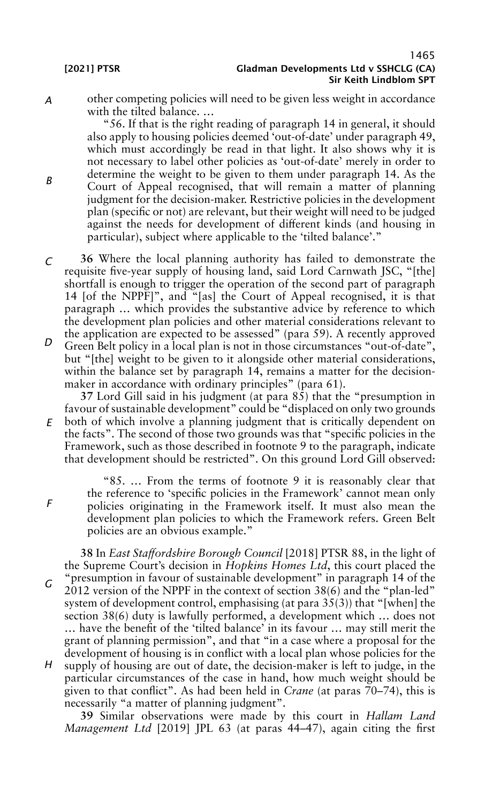*A*

*B*

*F*

other competing policies will need to be given less weight in accordance with the tilted balance. …

"56. If that is the right reading of paragraph 14 in general, it should also apply to housing policies deemed 'out-of-date' under paragraph 49, which must accordingly be read in that light. It also shows why it is not necessary to label other policies as 'out-of-date' merely in order to determine the weight to be given to them under paragraph 14. As the Court of Appeal recognised, that will remain a matter of planning judgment for the decision-maker. Restrictive policies in the development plan (specific or not) are relevant, but their weight will need to be judged against the needs for development of different kinds (and housing in particular), subject where applicable to the 'tilted balance'."

*C* **36** Where the local planning authority has failed to demonstrate the requisite five-year supply of housing land, said Lord Carnwath JSC, "[the] shortfall is enough to trigger the operation of the second part of paragraph 14 [of the NPPF]", and "[as] the Court of Appeal recognised, it is that paragraph … which provides the substantive advice by reference to which the development plan policies and other material considerations relevant to the application are expected to be assessed" (para 59). A recently approved

*D* Green Belt policy in a local plan is not in those circumstances "out-of-date", but "[the] weight to be given to it alongside other material considerations, within the balance set by paragraph 14, remains a matter for the decisionmaker in accordance with ordinary principles" (para 61).

*E* **37** Lord Gill said in his judgment (at para 85) that the "presumption in favour of sustainable development" could be "displaced on only two grounds both of which involve a planning judgment that is critically dependent on the facts". The second of those two grounds was that "specific policies in the Framework, such as those described in footnote 9 to the paragraph, indicate that development should be restricted". On this ground Lord Gill observed:

"85. … From the terms of footnote 9 it is reasonably clear that the reference to 'specific policies in the Framework' cannot mean only policies originating in the Framework itself. It must also mean the development plan policies to which the Framework refers. Green Belt policies are an obvious example."

*G H* **38** In *East Staffordshire Borough Council* [2018] PTSR 88, in the light of the Supreme Court's decision in *Hopkins Homes Ltd*, this court placed the "presumption in favour of sustainable development" in paragraph 14 of the 2012 version of the NPPF in the context of section 38(6) and the "plan-led" system of development control, emphasising (at para 35(3)) that "[when] the section 38(6) duty is lawfully performed, a development which … does not … have the benefit of the 'tilted balance' in its favour … may still merit the grant of planning permission", and that "in a case where a proposal for the development of housing is in conflict with a local plan whose policies for the supply of housing are out of date, the decision-maker is left to judge, in the particular circumstances of the case in hand, how much weight should be given to that conflict". As had been held in *Crane* (at paras  $70-74$ ), this is

**39** Similar observations were made by this court in *Hallam Land Management Ltd* [2019] JPL 63 (at paras 44–47), again citing the first

necessarily "a matter of planning judgment".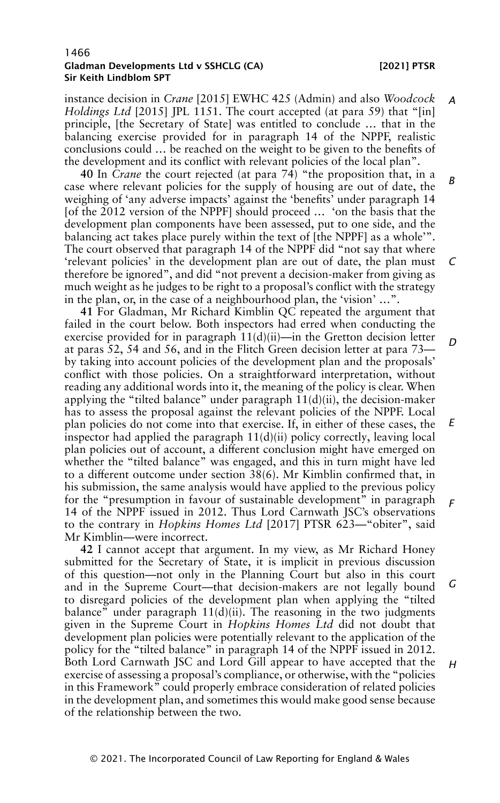instance decision in *Crane* [2015] EWHC 425 (Admin) and also *Woodcock Holdings Ltd* [2015] JPL 1151. The court accepted (at para 59) that "[in] principle, [the Secretary of State] was entitled to conclude … that in the balancing exercise provided for in paragraph 14 of the NPPF, realistic conclusions could … be reached on the weight to be given to the benefits of the development and its conflict with relevant policies of the local plan". *A*

**40** In *Crane* the court rejected (at para 74) "the proposition that, in a case where relevant policies for the supply of housing are out of date, the weighing of 'any adverse impacts' against the 'benefits' under paragraph 14 [of the 2012 version of the NPPF] should proceed ... 'on the basis that the development plan components have been assessed, put to one side, and the balancing act takes place purely within the text of [the NPPF] as a whole'". The court observed that paragraph 14 of the NPPF did "not say that where 'relevant policies' in the development plan are out of date, the plan must therefore be ignored", and did "not prevent a decision-maker from giving as much weight as he judges to be right to a proposal's conflict with the strategy in the plan, or, in the case of a neighbourhood plan, the 'vision' …". *B C*

**41** For Gladman, Mr Richard Kimblin QC repeated the argument that failed in the court below. Both inspectors had erred when conducting the exercise provided for in paragraph  $11(d)(ii)$ —in the Gretton decision letter at paras 52, 54 and 56, and in the Flitch Green decision letter at para 73 by taking into account policies of the development plan and the proposals' conflict with those policies. On a straightforward interpretation, without reading any additional words into it, the meaning of the policy is clear. When applying the "tilted balance" under paragraph  $11(d)(ii)$ , the decision-maker has to assess the proposal against the relevant policies of the NPPF. Local plan policies do not come into that exercise. If, in either of these cases, the inspector had applied the paragraph  $11(d)(ii)$  policy correctly, leaving local plan policies out of account, a different conclusion might have emerged on whether the "tilted balance" was engaged, and this in turn might have led to a different outcome under section 38(6). Mr Kimblin confirmed that, in his submission, the same analysis would have applied to the previous policy for the "presumption in favour of sustainable development" in paragraph 14 of the NPPF issued in 2012. Thus Lord Carnwath JSC's observations to the contrary in *Hopkins Homes Ltd* [2017] PTSR 623—"obiter", said Mr Kimblin—were incorrect. *D E F*

**42** I cannot accept that argument. In my view, as Mr Richard Honey submitted for the Secretary of State, it is implicit in previous discussion of this question—not only in the Planning Court but also in this court and in the Supreme Court—that decision-makers are not legally bound to disregard policies of the development plan when applying the "tilted balance" under paragraph  $11(d)(ii)$ . The reasoning in the two judgments given in the Supreme Court in *Hopkins Homes Ltd* did not doubt that development plan policies were potentially relevant to the application of the policy for the "tilted balance" in paragraph 14 of the NPPF issued in 2012. Both Lord Carnwath JSC and Lord Gill appear to have accepted that the exercise of assessing a proposal's compliance, or otherwise, with the "policies" in this Framework" could properly embrace consideration of related policies in the development plan, and sometimes this would make good sense because of the relationship between the two. *G H*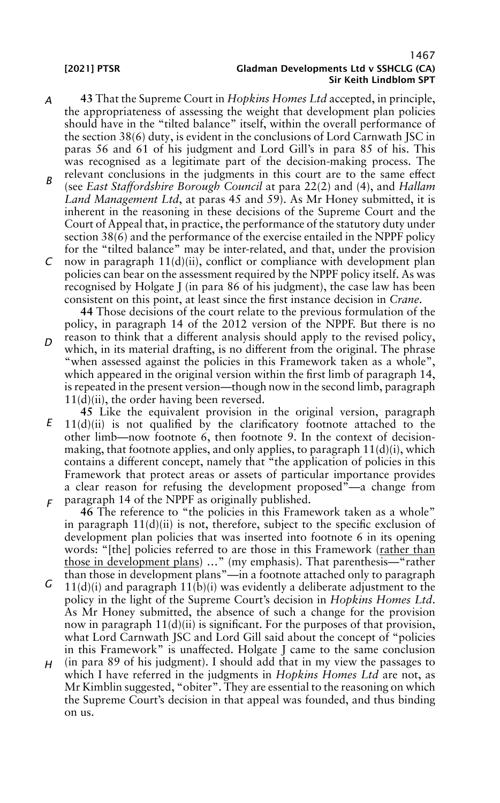- *A* **43** That the Supreme Court in *Hopkins Homes Ltd* accepted, in principle, the appropriateness of assessing the weight that development plan policies should have in the "tilted balance" itself, within the overall performance of the section 38(6) duty, is evident in the conclusions of Lord Carnwath JSC in paras 56 and 61 of his judgment and Lord Gill's in para 85 of his. This was recognised as a legitimate part of the decision-making process. The relevant conclusions in the judgments in this court are to the same effect
- *B* (see *East Staffordshire Borough Council* at para 22(2) and (4), and *Hallam Land Management Ltd*, at paras 45 and 59). As Mr Honey submitted, it is inherent in the reasoning in these decisions of the Supreme Court and the Court of Appeal that, in practice, the performance of the statutory duty under section 38(6) and the performance of the exercise entailed in the NPPF policy for the "tilted balance" may be inter-related, and that, under the provision
- *C* now in paragraph 11(d)(ii), conflict or compliance with development plan policies can bear on the assessment required by the NPPF policy itself. As was recognised by Holgate J (in para 86 of his judgment), the case law has been consistent on this point, at least since the first instance decision in *Crane*.

**44** Those decisions of the court relate to the previous formulation of the policy, in paragraph 14 of the 2012 version of the NPPF. But there is no

- *D* reason to think that a different analysis should apply to the revised policy, which, in its material drafting, is no different from the original. The phrase "when assessed against the policies in this Framework taken as a whole", which appeared in the original version within the first limb of paragraph 14, is repeated in the present version—though now in the second limb, paragraph  $11(d)(ii)$ , the order having been reversed.
- *E F* **45** Like the equivalent provision in the original version, paragraph 11(d)(ii) is not qualified by the clarificatory footnote attached to the other limb—now footnote 6, then footnote 9. In the context of decisionmaking, that footnote applies, and only applies, to paragraph  $11(d)(i)$ , which contains a different concept, namely that "the application of policies in this Framework that protect areas or assets of particular importance provides a clear reason for refusing the development proposed"—a change from paragraph 14 of the NPPF as originally published.
	- **46** The reference to "the policies in this Framework taken as a whole" in paragraph  $11(d)(ii)$  is not, therefore, subject to the specific exclusion of development plan policies that was inserted into footnote 6 in its opening words: "[the] policies referred to are those in this Framework (rather than those in development plans) …" (my emphasis). That parenthesis—"rather than those in development plans"—in a footnote attached only to paragraph
- *G*  $11(d)(i)$  and paragraph  $11(b)(i)$  was evidently a deliberate adjustment to the policy in the light of the Supreme Court's decision in *Hopkins Homes Ltd*. As Mr Honey submitted, the absence of such a change for the provision now in paragraph  $11(d)(ii)$  is significant. For the purposes of that provision, what Lord Carnwath JSC and Lord Gill said about the concept of "policies in this Framework" is unaffected. Holgate J came to the same conclusion
- *H* (in para 89 of his judgment). I should add that in my view the passages to which I have referred in the judgments in *Hopkins Homes Ltd* are not, as Mr Kimblin suggested, "obiter". They are essential to the reasoning on which the Supreme Court's decision in that appeal was founded, and thus binding on us.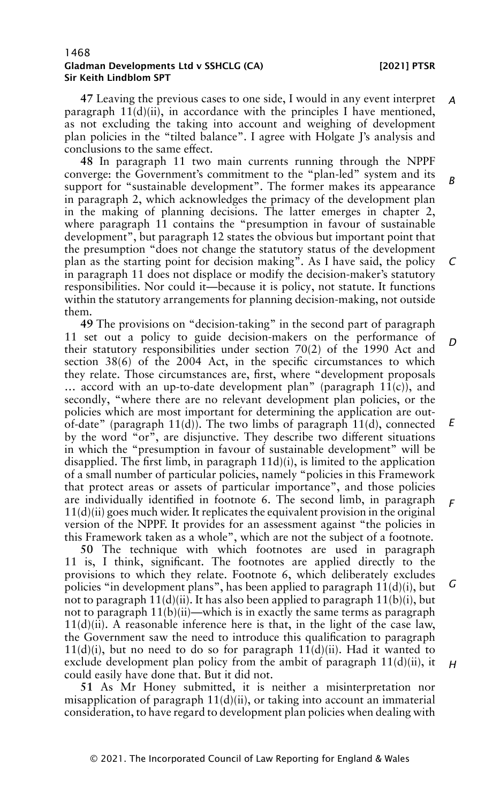**47** Leaving the previous cases to one side, I would in any event interpret paragraph  $11(d)(ii)$ , in accordance with the principles I have mentioned, as not excluding the taking into account and weighing of development plan policies in the "tilted balance". I agree with Holgate J's analysis and conclusions to the same effect. *A*

**48** In paragraph 11 two main currents running through the NPPF converge: the Government's commitment to the "plan-led" system and its support for "sustainable development". The former makes its appearance in paragraph 2, which acknowledges the primacy of the development plan in the making of planning decisions. The latter emerges in chapter 2, where paragraph 11 contains the "presumption in favour of sustainable development", but paragraph 12 states the obvious but important point that the presumption "does not change the statutory status of the development plan as the starting point for decision making". As I have said, the policy in paragraph 11 does not displace or modify the decision-maker's statutory responsibilities. Nor could it—because it is policy, not statute. It functions within the statutory arrangements for planning decision-making, not outside them. *B C*

**49** The provisions on "decision-taking" in the second part of paragraph 11 set out a policy to guide decision-makers on the performance of their statutory responsibilities under section 70(2) of the 1990 Act and section 38(6) of the 2004 Act, in the specific circumstances to which they relate. Those circumstances are, first, where "development proposals ... accord with an up-to-date development plan" (paragraph  $11(c)$ ), and secondly, "where there are no relevant development plan policies, or the policies which are most important for determining the application are outof-date" (paragraph  $11(d)$ ). The two limbs of paragraph  $11(d)$ , connected by the word "or", are disjunctive. They describe two different situations in which the "presumption in favour of sustainable development" will be disapplied. The first limb, in paragraph 11d)(i), is limited to the application of a small number of particular policies, namely "policies in this Framework that protect areas or assets of particular importance", and those policies are individually identified in footnote 6. The second limb, in paragraph  $11(d)(ii)$  goes much wider. It replicates the equivalent provision in the original version of the NPPF. It provides for an assessment against "the policies in this Framework taken as a whole", which are not the subject of a footnote. *D E F*

**50** The technique with which footnotes are used in paragraph 11 is, I think, significant. The footnotes are applied directly to the provisions to which they relate. Footnote 6, which deliberately excludes policies "in development plans", has been applied to paragraph 11(d)(i), but not to paragraph  $11(d)(ii)$ . It has also been applied to paragraph  $11(b)(i)$ , but not to paragraph  $11(b)(ii)$ —which is in exactly the same terms as paragraph  $11(d)(ii)$ . A reasonable inference here is that, in the light of the case law, the Government saw the need to introduce this qualification to paragraph  $11(d)(i)$ , but no need to do so for paragraph  $11(d)(ii)$ . Had it wanted to exclude development plan policy from the ambit of paragraph 11(d)(ii), it could easily have done that. But it did not. *G H*

**51** As Mr Honey submitted, it is neither a misinterpretation nor misapplication of paragraph  $11(d)(ii)$ , or taking into account an immaterial consideration, to have regard to development plan policies when dealing with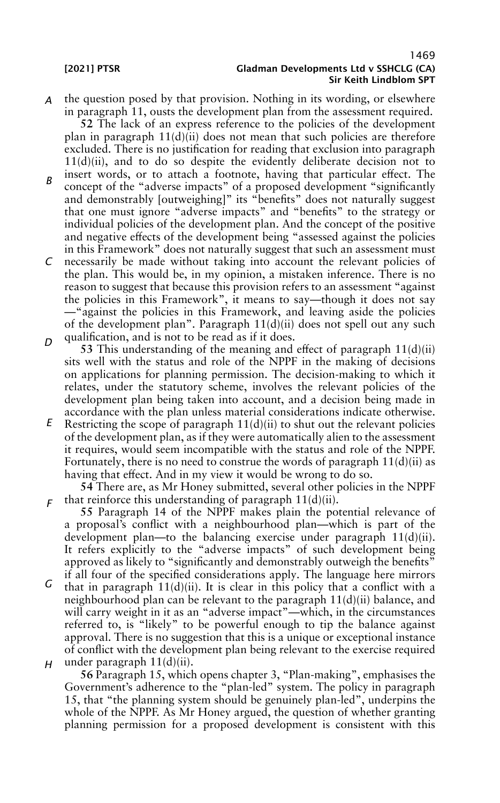*A* the question posed by that provision. Nothing in its wording, or elsewhere in paragraph 11, ousts the development plan from the assessment required.

**52** The lack of an express reference to the policies of the development plan in paragraph  $11(d)(ii)$  does not mean that such policies are therefore excluded. There is no justification for reading that exclusion into paragraph 11(d)(ii), and to do so despite the evidently deliberate decision not to

- *B* insert words, or to attach a footnote, having that particular effect. The concept of the "adverse impacts" of a proposed development "significantly and demonstrably [outweighing]" its "benefits" does not naturally suggest that one must ignore "adverse impacts" and "benefits" to the strategy or individual policies of the development plan. And the concept of the positive and negative effects of the development being "assessed against the policies in this Framework" does not naturally suggest that such an assessment must
- *C D* necessarily be made without taking into account the relevant policies of the plan. This would be, in my opinion, a mistaken inference. There is no reason to suggest that because this provision refers to an assessment "against the policies in this Framework", it means to say—though it does not say —"against the policies in this Framework, and leaving aside the policies of the development plan". Paragraph 11(d)(ii) does not spell out any such qualification, and is not to be read as if it does.
	- **53** This understanding of the meaning and effect of paragraph 11(d)(ii) sits well with the status and role of the NPPF in the making of decisions on applications for planning permission. The decision-making to which it relates, under the statutory scheme, involves the relevant policies of the development plan being taken into account, and a decision being made in accordance with the plan unless material considerations indicate otherwise.
- *E* Restricting the scope of paragraph  $11(d)(ii)$  to shut out the relevant policies of the development plan, as if they were automatically alien to the assessment it requires, would seem incompatible with the status and role of the NPPF. Fortunately, there is no need to construe the words of paragraph  $11(d)(ii)$  as having that effect. And in my view it would be wrong to do so.

*F* that reinforce this understanding of paragraph 11(d)(ii). **54** There are, as Mr Honey submitted, several other policies in the NPPF

**55** Paragraph 14 of the NPPF makes plain the potential relevance of a proposal's conflict with a neighbourhood plan—which is part of the development plan—to the balancing exercise under paragraph 11(d)(ii). It refers explicitly to the "adverse impacts" of such development being approved as likely to "significantly and demonstrably outweigh the benefits" if all four of the specified considerations apply. The language here mirrors

*G H* that in paragraph  $11(d)(ii)$ . It is clear in this policy that a conflict with a neighbourhood plan can be relevant to the paragraph 11(d)(ii) balance, and will carry weight in it as an "adverse impact"—which, in the circumstances referred to, is "likely" to be powerful enough to tip the balance against approval. There is no suggestion that this is a unique or exceptional instance of conflict with the development plan being relevant to the exercise required under paragraph 11(d)(ii).

**56** Paragraph 15, which opens chapter 3, "Plan-making", emphasises the Government's adherence to the "plan-led" system. The policy in paragraph 15, that "the planning system should be genuinely plan-led", underpins the whole of the NPPF. As Mr Honey argued, the question of whether granting planning permission for a proposed development is consistent with this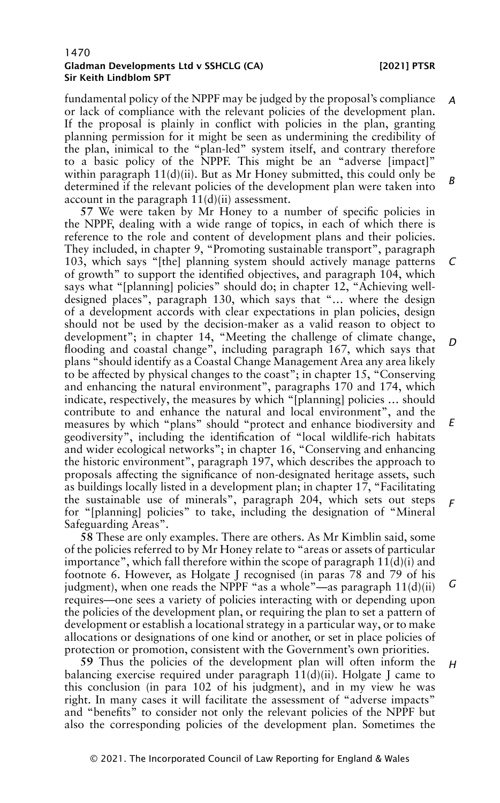*H*

fundamental policy of the NPPF may be judged by the proposal's compliance or lack of compliance with the relevant policies of the development plan. If the proposal is plainly in conflict with policies in the plan, granting planning permission for it might be seen as undermining the credibility of the plan, inimical to the "plan-led" system itself, and contrary therefore to a basic policy of the NPPF. This might be an "adverse [impact]" within paragraph  $11(d)(ii)$ . But as Mr Honey submitted, this could only be determined if the relevant policies of the development plan were taken into account in the paragraph 11(d)(ii) assessment. *A B*

**57** We were taken by Mr Honey to a number of specific policies in the NPPF, dealing with a wide range of topics, in each of which there is reference to the role and content of development plans and their policies. They included, in chapter 9, "Promoting sustainable transport", paragraph 103, which says "[the] planning system should actively manage patterns of growth" to support the identified objectives, and paragraph 104, which says what "[planning] policies" should do; in chapter 12, "Achieving welldesigned places", paragraph 130, which says that "… where the design of a development accords with clear expectations in plan policies, design should not be used by the decision-maker as a valid reason to object to development"; in chapter 14, "Meeting the challenge of climate change, flooding and coastal change", including paragraph 167, which says that plans "should identify as a Coastal Change Management Area any area likely to be affected by physical changes to the coast"; in chapter 15, "Conserving and enhancing the natural environment", paragraphs 170 and 174, which indicate, respectively, the measures by which "[planning] policies … should contribute to and enhance the natural and local environment", and the measures by which "plans" should "protect and enhance biodiversity and geodiversity", including the identification of "local wildlife-rich habitats and wider ecological networks"; in chapter 16, "Conserving and enhancing the historic environment", paragraph 197, which describes the approach to proposals affecting the significance of non-designated heritage assets, such as buildings locally listed in a development plan; in chapter 17, "Facilitating the sustainable use of minerals", paragraph 204, which sets out steps for "[planning] policies" to take, including the designation of "Mineral Safeguarding Areas". *C D E F*

**58** These are only examples. There are others. As Mr Kimblin said, some of the policies referred to by Mr Honey relate to "areas or assets of particular importance", which fall therefore within the scope of paragraph  $11(d)(i)$  and footnote 6. However, as Holgate J recognised (in paras 78 and 79 of his judgment), when one reads the NPPF "as a whole"—as paragraph  $11(d)(ii)$ requires—one sees a variety of policies interacting with or depending upon the policies of the development plan, or requiring the plan to set a pattern of development or establish a locational strategy in a particular way, or to make allocations or designations of one kind or another, or set in place policies of protection or promotion, consistent with the Government's own priorities. *G*

**59** Thus the policies of the development plan will often inform the balancing exercise required under paragraph  $11(d)(ii)$ . Holgate J came to this conclusion (in para 102 of his judgment), and in my view he was right. In many cases it will facilitate the assessment of "adverse impacts" and "benefits" to consider not only the relevant policies of the NPPF but also the corresponding policies of the development plan. Sometimes the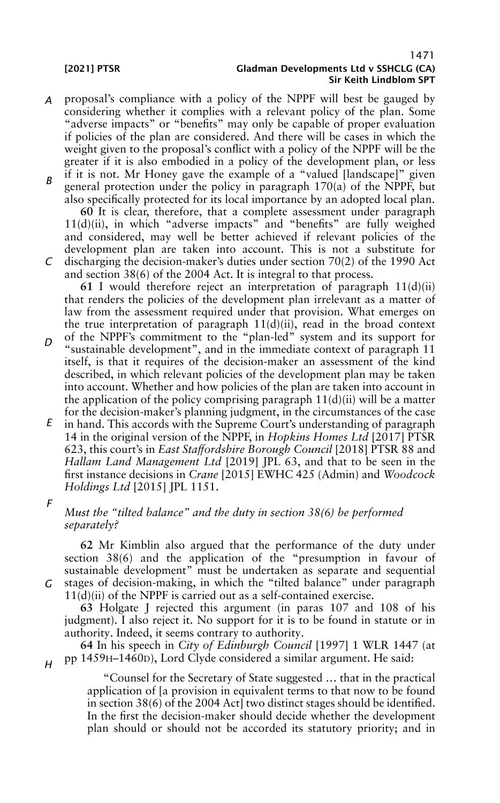- *A* proposal's compliance with a policy of the NPPF will best be gauged by considering whether it complies with a relevant policy of the plan. Some "adverse impacts" or "benefits" may only be capable of proper evaluation if policies of the plan are considered. And there will be cases in which the weight given to the proposal's conflict with a policy of the NPPF will be the greater if it is also embodied in a policy of the development plan, or less
- *B* if it is not. Mr Honey gave the example of a "valued [landscape]" given general protection under the policy in paragraph 170(a) of the NPPF, but also specifically protected for its local importance by an adopted local plan.

*C* **60** It is clear, therefore, that a complete assessment under paragraph 11(d)(ii), in which "adverse impacts" and "benefits" are fully weighed and considered, may well be better achieved if relevant policies of the development plan are taken into account. This is not a substitute for discharging the decision-maker's duties under section 70(2) of the 1990 Act and section 38(6) of the 2004 Act. It is integral to that process.

**61** I would therefore reject an interpretation of paragraph 11(d)(ii) that renders the policies of the development plan irrelevant as a matter of law from the assessment required under that provision. What emerges on the true interpretation of paragraph  $11(d)(ii)$ , read in the broad context

- *D* of the NPPF's commitment to the "plan-led" system and its support for "sustainable development", and in the immediate context of paragraph 11 itself, is that it requires of the decision-maker an assessment of the kind described, in which relevant policies of the development plan may be taken into account. Whether and how policies of the plan are taken into account in the application of the policy comprising paragraph  $11(d)(ii)$  will be a matter for the decision-maker's planning judgment, in the circumstances of the case
- *E* in hand. This accords with the Supreme Court's understanding of paragraph 14 in the original version of the NPPF, in *Hopkins Homes Ltd* [2017] PTSR 623, this court's in *East Staffordshire Borough Council* [2018] PTSR 88 and *Hallam Land Management Ltd* [2019] JPL 63, and that to be seen in the first instance decisions in *Crane* [2015] EWHC 425 (Admin) and *Woodcock Holdings Ltd* [2015] JPL 1151.

*F*

*G*

*H*

## *Must the "tilted balance" and the duty in section 38(6) be performed separately?*

**62** Mr Kimblin also argued that the performance of the duty under section 38(6) and the application of the "presumption in favour of sustainable development" must be undertaken as separate and sequential stages of decision-making, in which the "tilted balance" under paragraph

 $11(d)(ii)$  of the NPPF is carried out as a self-contained exercise.

**63** Holgate J rejected this argument (in paras 107 and 108 of his judgment). I also reject it. No support for it is to be found in statute or in authority. Indeed, it seems contrary to authority.

**64** In his speech in *City of Edinburgh Council* [1997] 1 WLR 1447 (at pp 1459H–1460D), Lord Clyde considered a similar argument. He said:

"Counsel for the Secretary of State suggested … that in the practical application of [a provision in equivalent terms to that now to be found in section 38(6) of the 2004 Act] two distinct stages should be identified. In the first the decision-maker should decide whether the development plan should or should not be accorded its statutory priority; and in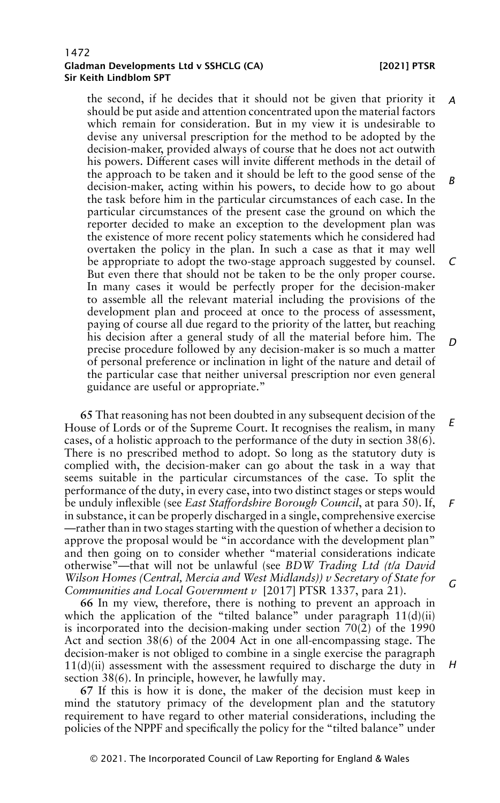the second, if he decides that it should not be given that priority it should be put aside and attention concentrated upon the material factors which remain for consideration. But in my view it is undesirable to devise any universal prescription for the method to be adopted by the decision-maker, provided always of course that he does not act outwith his powers. Different cases will invite different methods in the detail of the approach to be taken and it should be left to the good sense of the decision-maker, acting within his powers, to decide how to go about the task before him in the particular circumstances of each case. In the particular circumstances of the present case the ground on which the reporter decided to make an exception to the development plan was the existence of more recent policy statements which he considered had overtaken the policy in the plan. In such a case as that it may well be appropriate to adopt the two-stage approach suggested by counsel. But even there that should not be taken to be the only proper course. In many cases it would be perfectly proper for the decision-maker to assemble all the relevant material including the provisions of the development plan and proceed at once to the process of assessment, paying of course all due regard to the priority of the latter, but reaching his decision after a general study of all the material before him. The precise procedure followed by any decision-maker is so much a matter of personal preference or inclination in light of the nature and detail of the particular case that neither universal prescription nor even general guidance are useful or appropriate." *A B C D*

**65** That reasoning has not been doubted in any subsequent decision of the House of Lords or of the Supreme Court. It recognises the realism, in many cases, of a holistic approach to the performance of the duty in section 38(6). There is no prescribed method to adopt. So long as the statutory duty is complied with, the decision-maker can go about the task in a way that seems suitable in the particular circumstances of the case. To split the performance of the duty, in every case, into two distinct stages or steps would be unduly inflexible (see *East Staffordshire Borough Council*, at para 50). If, in substance, it can be properly discharged in a single, comprehensive exercise —rather than in two stages starting with the question of whether a decision to approve the proposal would be "in accordance with the development plan" and then going on to consider whether "material considerations indicate otherwise"—that will not be unlawful (see *BDW Trading Ltd (t/a David Wilson Homes (Central, Mercia and West Midlands)) v Secretary of State for Communities and Local Government v* [2017] PTSR 1337, para 21). *E F G*

**66** In my view, therefore, there is nothing to prevent an approach in which the application of the "tilted balance" under paragraph 11(d)(ii) is incorporated into the decision-making under section 70(2) of the 1990 Act and section 38(6) of the 2004 Act in one all-encompassing stage. The decision-maker is not obliged to combine in a single exercise the paragraph  $11(d)(ii)$  assessment with the assessment required to discharge the duty in section 38(6). In principle, however, he lawfully may.

**67** If this is how it is done, the maker of the decision must keep in mind the statutory primacy of the development plan and the statutory requirement to have regard to other material considerations, including the policies of the NPPF and specifically the policy for the "tilted balance" under